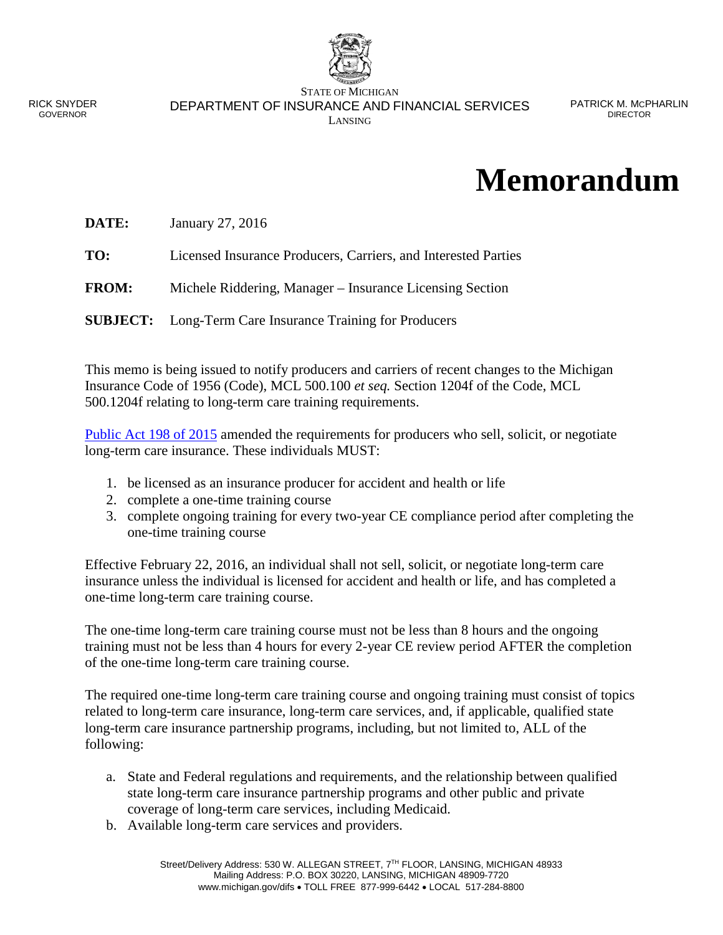

RICK SNYDER GOVERNOR

STATE OF MICHIGAN DEPARTMENT OF INSURANCE AND FINANCIAL SERVICES LANSING

## **Memorandum**

| DATE: | January 27, 2016 |
|-------|------------------|
|-------|------------------|

**TO:** Licensed Insurance Producers, Carriers, and Interested Parties

**FROM:** Michele Riddering, Manager – Insurance Licensing Section

**SUBJECT:** Long-Term Care Insurance Training for Producers

This memo is being issued to notify producers and carriers of recent changes to the Michigan Insurance Code of 1956 (Code), MCL 500.100 *et seq.* Section 1204f of the Code, MCL 500.1204f relating to long-term care training requirements.

[Public Act 198 of 2015](http://www.legislature.mi.gov/documents/2015-2016/publicact/pdf/2015-PA-0198.pdf) amended the requirements for producers who sell, solicit, or negotiate long-term care insurance. These individuals MUST:

- 1. be licensed as an insurance producer for accident and health or life
- 2. complete a one-time training course
- 3. complete ongoing training for every two-year CE compliance period after completing the one-time training course

Effective February 22, 2016, an individual shall not sell, solicit, or negotiate long-term care insurance unless the individual is licensed for accident and health or life, and has completed a one-time long-term care training course.

The one-time long-term care training course must not be less than 8 hours and the ongoing training must not be less than 4 hours for every 2-year CE review period AFTER the completion of the one-time long-term care training course.

The required one-time long-term care training course and ongoing training must consist of topics related to long-term care insurance, long-term care services, and, if applicable, qualified state long-term care insurance partnership programs, including, but not limited to, ALL of the following:

- a. State and Federal regulations and requirements, and the relationship between qualified state long-term care insurance partnership programs and other public and private coverage of long-term care services, including Medicaid.
- b. Available long-term care services and providers.